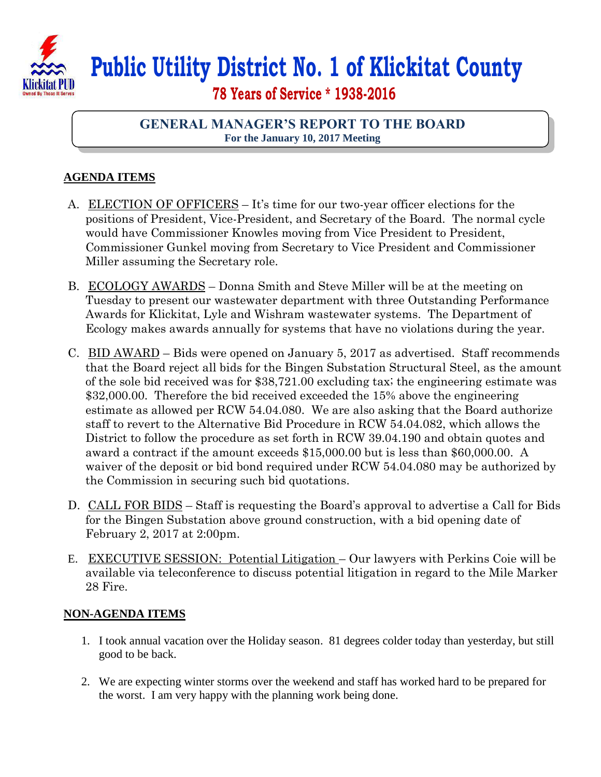

## **Public Utility District No. 1 of Klickitat County**

 **78 Years of Service \* 1938-2016**

## **GENERAL MANAGER'S REPORT TO THE BOARD For the January 10, 2017 Meeting**

## **AGENDA ITEMS**

- A. ELECTION OF OFFICERS It's time for our two-year officer elections for the positions of President, Vice-President, and Secretary of the Board. The normal cycle would have Commissioner Knowles moving from Vice President to President, Commissioner Gunkel moving from Secretary to Vice President and Commissioner Miller assuming the Secretary role.
- B. ECOLOGY AWARDS Donna Smith and Steve Miller will be at the meeting on Tuesday to present our wastewater department with three Outstanding Performance Awards for Klickitat, Lyle and Wishram wastewater systems. The Department of Ecology makes awards annually for systems that have no violations during the year.
- C. BID AWARD Bids were opened on January 5, 2017 as advertised. Staff recommends that the Board reject all bids for the Bingen Substation Structural Steel, as the amount of the sole bid received was for \$38,721.00 excluding tax; the engineering estimate was \$32,000.00. Therefore the bid received exceeded the 15% above the engineering estimate as allowed per RCW 54.04.080. We are also asking that the Board authorize staff to revert to the Alternative Bid Procedure in RCW 54.04.082, which allows the District to follow the procedure as set forth in RCW 39.04.190 and obtain quotes and award a contract if the amount exceeds \$15,000.00 but is less than \$60,000.00. A waiver of the deposit or bid bond required under RCW 54.04.080 may be authorized by the Commission in securing such bid quotations.
- D. CALL FOR BIDS Staff is requesting the Board's approval to advertise a Call for Bids for the Bingen Substation above ground construction, with a bid opening date of February 2, 2017 at 2:00pm.
- E. EXECUTIVE SESSION: Potential Litigation Our lawyers with Perkins Coie will be available via teleconference to discuss potential litigation in regard to the Mile Marker 28 Fire.

## **NON-AGENDA ITEMS**

- 1. I took annual vacation over the Holiday season. 81 degrees colder today than yesterday, but still good to be back.
- 2. We are expecting winter storms over the weekend and staff has worked hard to be prepared for the worst. I am very happy with the planning work being done.